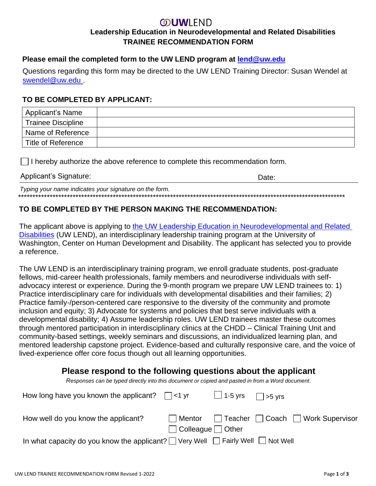## **OUWLEND Leadership Education in Neurodevelopmental and Related Disabilities TRAINEE RECOMMENDATION FORM**

#### **Please email the completed form to the UW LEND program at [lend@uw.edu](mailto:lend@uw.edu)**

Questions regarding this form may be directed to the UW LEND Training Director: Susan Wendel at [swendel@uw.edu .](mailto:swendel@uw.edu)

#### **TO BE COMPLETED BY APPLICANT:**

| Applicant's Name          |  |
|---------------------------|--|
| <b>Trainee Discipline</b> |  |
| Name of Reference         |  |
| Title of Reference        |  |

 $\Box$  I hereby authorize the above reference to complete this recommendation form.

#### Applicant's Signature:  $\Box$

*Typing your name indicates your signature on the form.* \*\*\*\*\*\*\*\*\*\*\*\*\*\*\*\*\*\*\*\*\*\*\*\*\*\*\*\*\*\*\*\*\*\*\*\*\*\*\*\*\*\*\*\*\*\*\*\*\*\*\*\*\*\*\*\*\*\*\*\*\*\*\*\*\*\*\*\*\*\*\*\*\*\*\*\*\*\*\*\*\*\*\*\*\*\*\*\*\*\*\*\*\*\*\*\*\*\*\*\*\*\*\*\*\*\*\*\*\*\*\*\*\*\*

### **TO BE COMPLETED BY THE PERSON MAKING THE RECOMMENDATION:**

The applicant above is applying to [the UW Leadership Education in Neurodevelopmental and Related](https://uw-ctu.org/uw-lend/)  [Disabilities](https://uw-ctu.org/uw-lend/) (UW LEND), an interdisciplinary leadership training program at the University of Washington, Center on Human Development and Disability. The applicant has selected you to provide a reference.

The UW LEND is an interdisciplinary training program, we enroll graduate students, post-graduate fellows, mid-career health professionals, family members and neurodiverse individuals with selfadvocacy interest or experience. During the 9-month program we prepare UW LEND trainees to: 1) Practice interdisciplinary care for individuals with developmental disabilities and their families; 2) Practice family-/person-centered care responsive to the diversity of the community and promote inclusion and equity; 3) Advocate for systems and policies that best serve individuals with a developmental disability; 4) Assume leadership roles. UW LEND trainees master these outcomes through mentored participation in interdisciplinary clinics at the CHDD – Clinical Training Unit and community-based settings, weekly seminars and discussions, an individualized learning plan, and mentored leadership capstone project. Evidence-based and culturally responsive care, and the voice of lived-experience offer core focus though out all learning opportunities.

# **Please respond to the following questions about the applicant**

*Responses can be typed directly into this document or copied and pasted in from a Word document.*

| How long have you known the applicant? $\Box$ <1 yr                                             |                               | $\Box$ 1-5 yrs $\Box$ >5 yrs |                                     |
|-------------------------------------------------------------------------------------------------|-------------------------------|------------------------------|-------------------------------------|
| How well do you know the applicant?                                                             | l Mentor                      |                              | □ Teacher □ Coach □ Work Supervisor |
|                                                                                                 | $\Box$ Colleague $\Box$ Other |                              |                                     |
| In what capacity do you know the applicant? $\Box$ Very Well $\Box$ Fairly Well $\Box$ Not Well |                               |                              |                                     |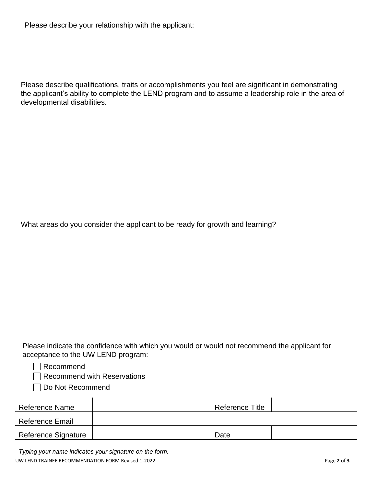Please describe your relationship with the applicant:

Please describe qualifications, traits or accomplishments you feel are significant in demonstrating the applicant's ability to complete the LEND program and to assume a leadership role in the area of developmental disabilities.

What areas do you consider the applicant to be ready for growth and learning?

Please indicate the confidence with which you would or would not recommend the applicant for acceptance to the UW LEND program:

| Recommend |
|-----------|
|           |

Recommend with Reservations

Do Not Recommend

| Reference Name         | Reference Title |  |
|------------------------|-----------------|--|
| <b>Reference Email</b> |                 |  |
| Reference Signature    | Date            |  |

UW LEND TRAINEE RECOMMENDATION FORM Revised 1-2022 **Page 2** of **3** Page 2 of **3** *Typing your name indicates your signature on the form.*